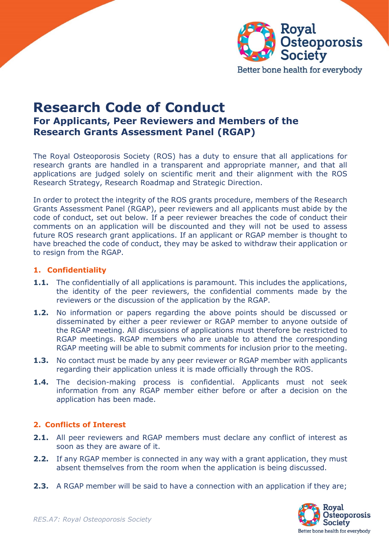

Better bone health for everybody

## **Research Code of Conduct For Applicants, Peer Reviewers and Members of the Research Grants Assessment Panel (RGAP)**

The Royal Osteoporosis Society (ROS) has a duty to ensure that all applications for research grants are handled in a transparent and appropriate manner, and that all applications are judged solely on scientific merit and their alignment with the ROS Research Strategy, Research Roadmap and Strategic Direction.

In order to protect the integrity of the ROS grants procedure, members of the Research Grants Assessment Panel (RGAP), peer reviewers and all applicants must abide by the code of conduct, set out below. If a peer reviewer breaches the code of conduct their comments on an application will be discounted and they will not be used to assess future ROS research grant applications. If an applicant or RGAP member is thought to have breached the code of conduct, they may be asked to withdraw their application or to resign from the RGAP.

## **1. Confidentiality**

- **1.1.** The confidentially of all applications is paramount. This includes the applications, the identity of the peer reviewers, the confidential comments made by the reviewers or the discussion of the application by the RGAP.
- **1.2.** No information or papers regarding the above points should be discussed or disseminated by either a peer reviewer or RGAP member to anyone outside of the RGAP meeting. All discussions of applications must therefore be restricted to RGAP meetings. RGAP members who are unable to attend the corresponding RGAP meeting will be able to submit comments for inclusion prior to the meeting.
- **1.3.** No contact must be made by any peer reviewer or RGAP member with applicants regarding their application unless it is made officially through the ROS.
- **1.4.** The decision-making process is confidential. Applicants must not seek information from any RGAP member either before or after a decision on the application has been made.

## **2. Conflicts of Interest**

- **2.1.** All peer reviewers and RGAP members must declare any conflict of interest as soon as they are aware of it.
- **2.2.** If any RGAP member is connected in any way with a grant application, they must absent themselves from the room when the application is being discussed.
- **2.3.** A RGAP member will be said to have a connection with an application if they are;